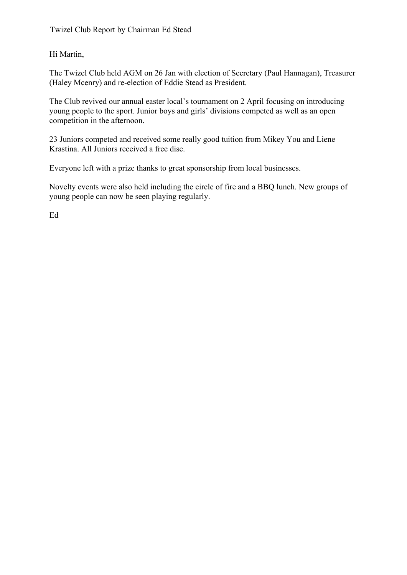Twizel Club Report by Chairman Ed Stead

Hi Martin,

The Twizel Club held AGM on 26 Jan with election of Secretary (Paul Hannagan), Treasurer (Haley Mcenry) and re-election of Eddie Stead as President.

The Club revived our annual easter local's tournament on 2 April focusing on introducing young people to the sport. Junior boys and girls' divisions competed as well as an open competition in the afternoon.

23 Juniors competed and received some really good tuition from Mikey You and Liene Krastina. All Juniors received a free disc.

Everyone left with a prize thanks to great sponsorship from local businesses.

Novelty events were also held including the circle of fire and a BBQ lunch. New groups of young people can now be seen playing regularly.

Ed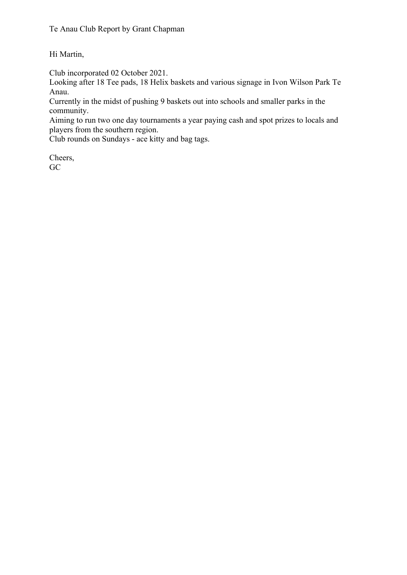Hi Martin,

Club incorporated 02 October 2021.

Looking after 18 Tee pads, 18 Helix baskets and various signage in Ivon Wilson Park Te Anau.

Currently in the midst of pushing 9 baskets out into schools and smaller parks in the community.

Aiming to run two one day tournaments a year paying cash and spot prizes to locals and players from the southern region.

Club rounds on Sundays - ace kitty and bag tags.

Cheers, GC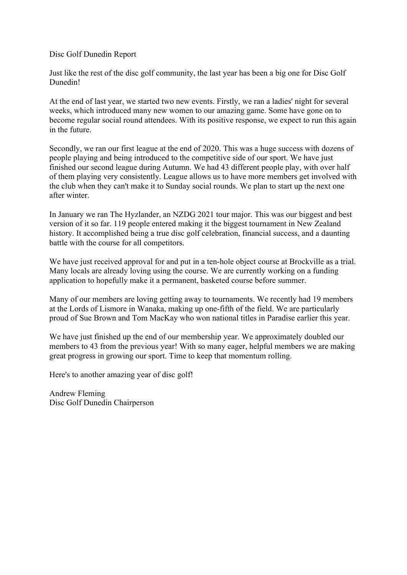Disc Golf Dunedin Report

Just like the rest of the disc golf community, the last year has been a big one for Disc Golf Dunedin!

At the end of last year, we started two new events. Firstly, we ran a ladies' night for several weeks, which introduced many new women to our amazing game. Some have gone on to become regular social round attendees. With its positive response, we expect to run this again in the future.

Secondly, we ran our first league at the end of 2020. This was a huge success with dozens of people playing and being introduced to the competitive side of our sport. We have just finished our second league during Autumn. We had 43 different people play, with over half of them playing very consistently. League allows us to have more members get involved with the club when they can't make it to Sunday social rounds. We plan to start up the next one after winter.

In January we ran The Hyzlander, an NZDG 2021 tour major. This was our biggest and best version of it so far. 119 people entered making it the biggest tournament in New Zealand history. It accomplished being a true disc golf celebration, financial success, and a daunting battle with the course for all competitors.

We have just received approval for and put in a ten-hole object course at Brockville as a trial. Many locals are already loving using the course. We are currently working on a funding application to hopefully make it a permanent, basketed course before summer.

Many of our members are loving getting away to tournaments. We recently had 19 members at the Lords of Lismore in Wanaka, making up one-fifth of the field. We are particularly proud of Sue Brown and Tom MacKay who won national titles in Paradise earlier this year.

We have just finished up the end of our membership year. We approximately doubled our members to 43 from the previous year! With so many eager, helpful members we are making great progress in growing our sport. Time to keep that momentum rolling.

Here's to another amazing year of disc golf!

Andrew Fleming Disc Golf Dunedin Chairperson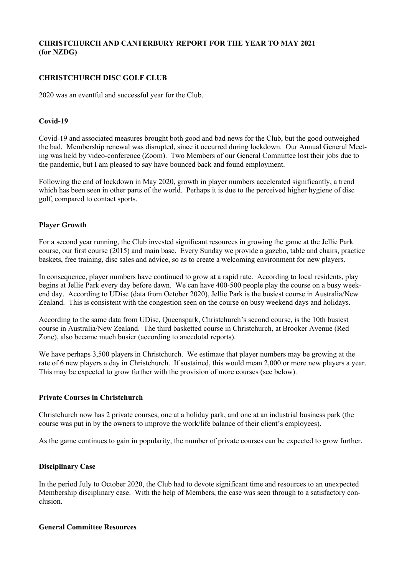# **CHRISTCHURCH AND CANTERBURY REPORT FOR THE YEAR TO MAY 2021 (for NZDG)**

## **CHRISTCHURCH DISC GOLF CLUB**

2020 was an eventful and successful year for the Club.

## **Covid-19**

Covid-19 and associated measures brought both good and bad news for the Club, but the good outweighed the bad. Membership renewal was disrupted, since it occurred during lockdown. Our Annual General Meeting was held by video-conference (Zoom). Two Members of our General Committee lost their jobs due to the pandemic, but I am pleased to say have bounced back and found employment.

Following the end of lockdown in May 2020, growth in player numbers accelerated significantly, a trend which has been seen in other parts of the world. Perhaps it is due to the perceived higher hygiene of disc golf, compared to contact sports.

## **Player Growth**

For a second year running, the Club invested significant resources in growing the game at the Jellie Park course, our first course (2015) and main base. Every Sunday we provide a gazebo, table and chairs, practice baskets, free training, disc sales and advice, so as to create a welcoming environment for new players.

In consequence, player numbers have continued to grow at a rapid rate. According to local residents, play begins at Jellie Park every day before dawn. We can have 400-500 people play the course on a busy weekend day. According to UDisc (data from October 2020), Jellie Park is the busiest course in Australia/New Zealand. This is consistent with the congestion seen on the course on busy weekend days and holidays.

According to the same data from UDisc, Queenspark, Christchurch's second course, is the 10th busiest course in Australia/New Zealand. The third basketted course in Christchurch, at Brooker Avenue (Red Zone), also became much busier (according to anecdotal reports).

We have perhaps 3,500 players in Christchurch. We estimate that player numbers may be growing at the rate of 6 new players a day in Christchurch. If sustained, this would mean 2,000 or more new players a year. This may be expected to grow further with the provision of more courses (see below).

#### **Private Courses in Christchurch**

Christchurch now has 2 private courses, one at a holiday park, and one at an industrial business park (the course was put in by the owners to improve the work/life balance of their client's employees).

As the game continues to gain in popularity, the number of private courses can be expected to grow further.

## **Disciplinary Case**

In the period July to October 2020, the Club had to devote significant time and resources to an unexpected Membership disciplinary case. With the help of Members, the case was seen through to a satisfactory conclusion.

#### **General Committee Resources**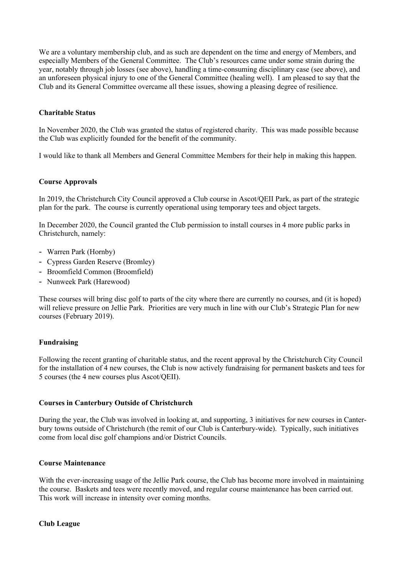We are a voluntary membership club, and as such are dependent on the time and energy of Members, and especially Members of the General Committee. The Club's resources came under some strain during the year, notably through job losses (see above), handling a time-consuming disciplinary case (see above), and an unforeseen physical injury to one of the General Committee (healing well). I am pleased to say that the Club and its General Committee overcame all these issues, showing a pleasing degree of resilience.

## **Charitable Status**

In November 2020, the Club was granted the status of registered charity. This was made possible because the Club was explicitly founded for the benefit of the community.

I would like to thank all Members and General Committee Members for their help in making this happen.

## **Course Approvals**

In 2019, the Christchurch City Council approved a Club course in Ascot/QEII Park, as part of the strategic plan for the park. The course is currently operational using temporary tees and object targets.

In December 2020, the Council granted the Club permission to install courses in 4 more public parks in Christchurch, namely:

- Warren Park (Hornby)
- Cypress Garden Reserve (Bromley)
- Broomfield Common (Broomfield)
- Nunweek Park (Harewood)

These courses will bring disc golf to parts of the city where there are currently no courses, and (it is hoped) will relieve pressure on Jellie Park. Priorities are very much in line with our Club's Strategic Plan for new courses (February 2019).

## **Fundraising**

Following the recent granting of charitable status, and the recent approval by the Christchurch City Council for the installation of 4 new courses, the Club is now actively fundraising for permanent baskets and tees for 5 courses (the 4 new courses plus Ascot/QEII).

## **Courses in Canterbury Outside of Christchurch**

During the year, the Club was involved in looking at, and supporting, 3 initiatives for new courses in Canterbury towns outside of Christchurch (the remit of our Club is Canterbury-wide). Typically, such initiatives come from local disc golf champions and/or District Councils.

## **Course Maintenance**

With the ever-increasing usage of the Jellie Park course, the Club has become more involved in maintaining the course. Baskets and tees were recently moved, and regular course maintenance has been carried out. This work will increase in intensity over coming months.

**Club League**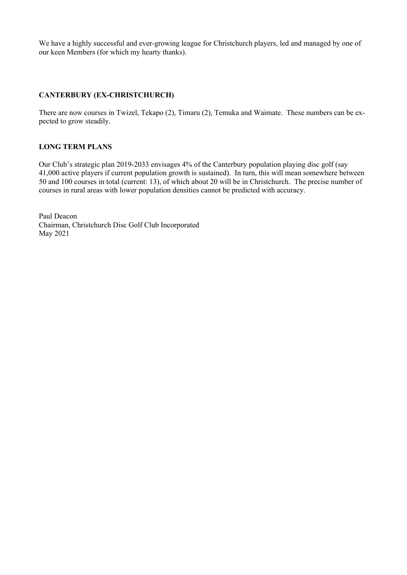We have a highly successful and ever-growing league for Christchurch players, led and managed by one of our keen Members (for which my hearty thanks).

# **CANTERBURY (EX-CHRISTCHURCH)**

There are now courses in Twizel, Tekapo (2), Timaru (2), Temuka and Waimate. These numbers can be expected to grow steadily.

## **LONG TERM PLANS**

Our Club's strategic plan 2019-2033 envisages 4% of the Canterbury population playing disc golf (say 41,000 active players if current population growth is sustained). In turn, this will mean somewhere between 50 and 100 courses in total (current: 13), of which about 20 will be in Christchurch. The precise number of courses in rural areas with lower population densities cannot be predicted with accuracy.

Paul Deacon Chairman, Christchurch Disc Golf Club Incorporated May 2021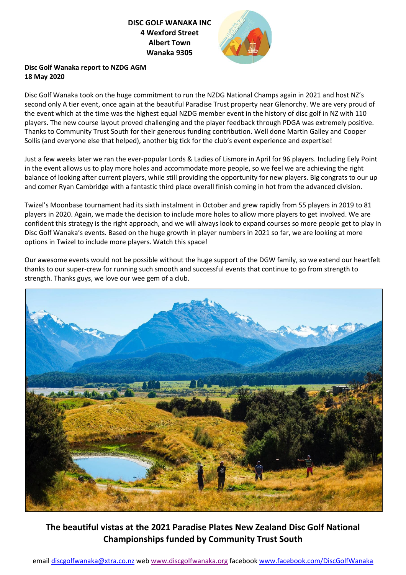**DISC GOLF WANAKA INC 4 Wexford Street Albert Town Wanaka 9305**



## **Disc Golf Wanaka report to NZDG AGM 18 May 2020**

Disc Golf Wanaka took on the huge commitment to run the NZDG National Champs again in 2021 and host NZ's second only A tier event, once again at the beautiful Paradise Trust property near Glenorchy. We are very proud of the event which at the time was the highest equal NZDG member event in the history of disc golf in NZ with 110 players. The new course layout proved challenging and the player feedback through PDGA was extremely positive. Thanks to Community Trust South for their generous funding contribution. Well done Martin Galley and Cooper Sollis (and everyone else that helped), another big tick for the club's event experience and expertise!

Just a few weeks later we ran the ever-popular Lords & Ladies of Lismore in April for 96 players. Including Eely Point in the event allows us to play more holes and accommodate more people, so we feel we are achieving the right balance of looking after current players, while still providing the opportunity for new players. Big congrats to our up and comer Ryan Cambridge with a fantastic third place overall finish coming in hot from the advanced division.

Twizel's Moonbase tournament had its sixth instalment in October and grew rapidly from 55 players in 2019 to 81 players in 2020. Again, we made the decision to include more holes to allow more players to get involved. We are confident this strategy is the right approach, and we will always look to expand courses so more people get to play in Disc Golf Wanaka's events. Based on the huge growth in player numbers in 2021 so far, we are looking at more options in Twizel to include more players. Watch this space!

Our awesome events would not be possible without the huge support of the DGW family, so we extend our heartfelt thanks to our super-crew for running such smooth and successful events that continue to go from strength to strength. Thanks guys, we love our wee gem of a club.



**The beautiful vistas at the 2021 Paradise Plates New Zealand Disc Golf National Championships funded by Community Trust South**